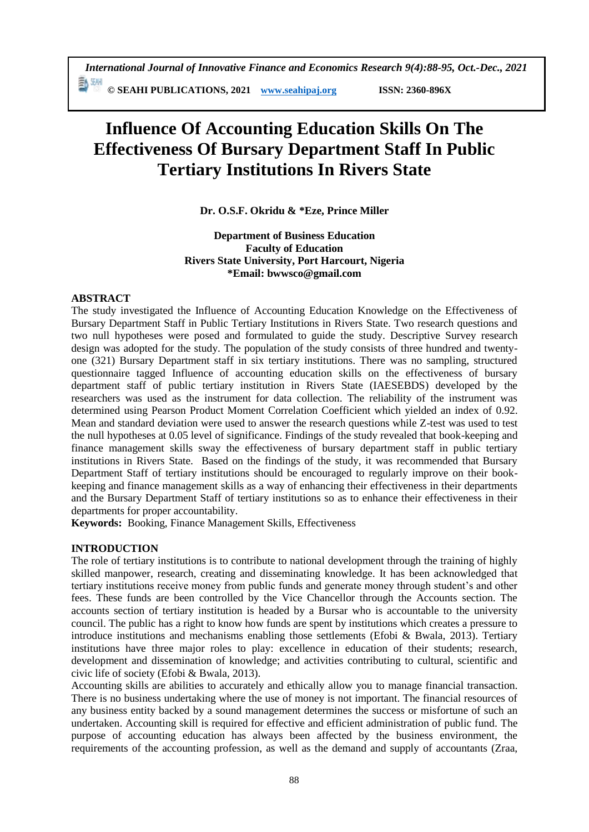**© SEAHI PUBLICATIONS, 2021 [www.seahipaj.org](http://www.seahipaj.org/) ISSN: 2360-896X**

# **Influence Of Accounting Education Skills On The Effectiveness Of Bursary Department Staff In Public Tertiary Institutions In Rivers State**

**Dr. O.S.F. Okridu & \*Eze, Prince Miller**

**Department of Business Education Faculty of Education Rivers State University, Port Harcourt, Nigeria \*Email: bwwsco@gmail.com**

# **ABSTRACT**

The study investigated the Influence of Accounting Education Knowledge on the Effectiveness of Bursary Department Staff in Public Tertiary Institutions in Rivers State. Two research questions and two null hypotheses were posed and formulated to guide the study. Descriptive Survey research design was adopted for the study. The population of the study consists of three hundred and twentyone (321) Bursary Department staff in six tertiary institutions. There was no sampling, structured questionnaire tagged Influence of accounting education skills on the effectiveness of bursary department staff of public tertiary institution in Rivers State (IAESEBDS) developed by the researchers was used as the instrument for data collection. The reliability of the instrument was determined using Pearson Product Moment Correlation Coefficient which yielded an index of 0.92. Mean and standard deviation were used to answer the research questions while Z-test was used to test the null hypotheses at 0.05 level of significance. Findings of the study revealed that book-keeping and finance management skills sway the effectiveness of bursary department staff in public tertiary institutions in Rivers State. Based on the findings of the study, it was recommended that Bursary Department Staff of tertiary institutions should be encouraged to regularly improve on their bookkeeping and finance management skills as a way of enhancing their effectiveness in their departments and the Bursary Department Staff of tertiary institutions so as to enhance their effectiveness in their departments for proper accountability.

**Keywords:** Booking, Finance Management Skills, Effectiveness

# **INTRODUCTION**

The role of tertiary institutions is to contribute to national development through the training of highly skilled manpower, research, creating and disseminating knowledge. It has been acknowledged that tertiary institutions receive money from public funds and generate money through student's and other fees. These funds are been controlled by the Vice Chancellor through the Accounts section. The accounts section of tertiary institution is headed by a Bursar who is accountable to the university council. The public has a right to know how funds are spent by institutions which creates a pressure to introduce institutions and mechanisms enabling those settlements (Efobi & Bwala, 2013). Tertiary institutions have three major roles to play: excellence in education of their students; research, development and dissemination of knowledge; and activities contributing to cultural, scientific and civic life of society (Efobi & Bwala, 2013).

Accounting skills are abilities to accurately and ethically allow you to manage financial transaction. There is no business undertaking where the use of money is not important. The financial resources of any business entity backed by a sound management determines the success or misfortune of such an undertaken. Accounting skill is required for effective and efficient administration of public fund. The purpose of accounting education has always been affected by the business environment, the requirements of the accounting profession, as well as the demand and supply of accountants (Zraa,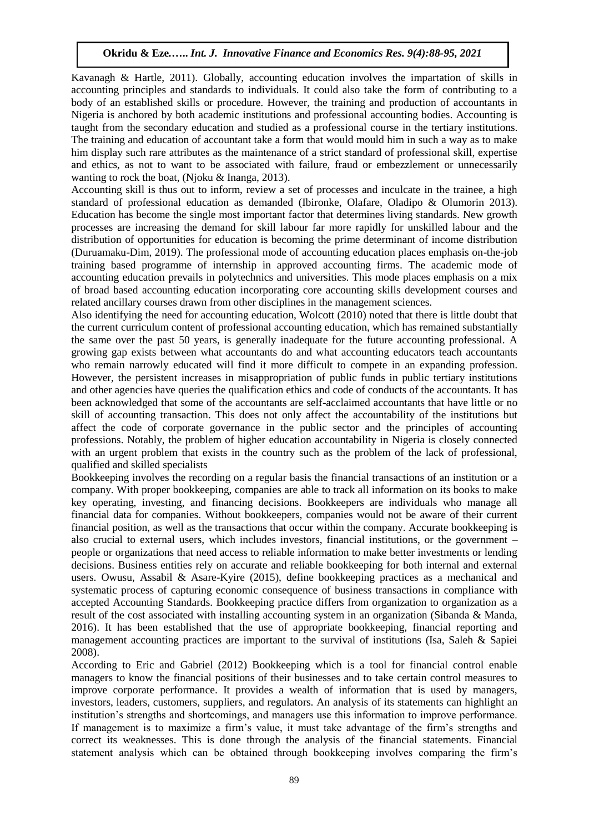Kavanagh & Hartle, 2011). Globally, accounting education involves the impartation of skills in accounting principles and standards to individuals. It could also take the form of contributing to a body of an established skills or procedure. However, the training and production of accountants in Nigeria is anchored by both academic institutions and professional accounting bodies. Accounting is taught from the secondary education and studied as a professional course in the tertiary institutions. The training and education of accountant take a form that would mould him in such a way as to make him display such rare attributes as the maintenance of a strict standard of professional skill, expertise and ethics, as not to want to be associated with failure, fraud or embezzlement or unnecessarily wanting to rock the boat, (Njoku & Inanga, 2013).

Accounting skill is thus out to inform, review a set of processes and inculcate in the trainee, a high standard of professional education as demanded (Ibironke, Olafare, Oladipo & Olumorin 2013). Education has become the single most important factor that determines living standards. New growth processes are increasing the demand for skill labour far more rapidly for unskilled labour and the distribution of opportunities for education is becoming the prime determinant of income distribution (Duruamaku-Dim, 2019). The professional mode of accounting education places emphasis on-the-job training based programme of internship in approved accounting firms. The academic mode of accounting education prevails in polytechnics and universities. This mode places emphasis on a mix of broad based accounting education incorporating core accounting skills development courses and related ancillary courses drawn from other disciplines in the management sciences.

Also identifying the need for accounting education, Wolcott (2010) noted that there is little doubt that the current curriculum content of professional accounting education, which has remained substantially the same over the past 50 years, is generally inadequate for the future accounting professional. A growing gap exists between what accountants do and what accounting educators teach accountants who remain narrowly educated will find it more difficult to compete in an expanding profession. However, the persistent increases in misappropriation of public funds in public tertiary institutions and other agencies have queries the qualification ethics and code of conducts of the accountants. It has been acknowledged that some of the accountants are self-acclaimed accountants that have little or no skill of accounting transaction. This does not only affect the accountability of the institutions but affect the code of corporate governance in the public sector and the principles of accounting professions. Notably, the problem of higher education accountability in Nigeria is closely connected with an urgent problem that exists in the country such as the problem of the lack of professional, qualified and skilled specialists

Bookkeeping involves the recording on a regular basis the financial transactions of an institution or a company. With proper bookkeeping, companies are able to track all information on its books to make key operating, investing, and financing decisions. Bookkeepers are individuals who manage all financial data for companies. Without bookkeepers, companies would not be aware of their current financial position, as well as the transactions that occur within the company. Accurate bookkeeping is also crucial to external users, which includes investors, financial institutions, or the government – people or organizations that need access to reliable information to make better investments or lending decisions. Business entities rely on accurate and reliable bookkeeping for both internal and external users. Owusu, Assabil & Asare-Kyire (2015), define bookkeeping practices as a mechanical and systematic process of capturing economic consequence of business transactions in compliance with accepted Accounting Standards. Bookkeeping practice differs from organization to organization as a result of the cost associated with installing accounting system in an organization (Sibanda & Manda, 2016). It has been established that the use of appropriate bookkeeping, financial reporting and management accounting practices are important to the survival of institutions (Isa, Saleh & Sapiei 2008).

According to Eric and Gabriel (2012) Bookkeeping which is a tool for financial control enable managers to know the financial positions of their businesses and to take certain control measures to improve corporate performance. It provides a wealth of information that is used by managers, investors, leaders, customers, suppliers, and regulators. An analysis of its statements can highlight an institution's strengths and shortcomings, and managers use this information to improve performance. If management is to maximize a firm's value, it must take advantage of the firm's strengths and correct its weaknesses. This is done through the analysis of the financial statements. Financial statement analysis which can be obtained through bookkeeping involves comparing the firm's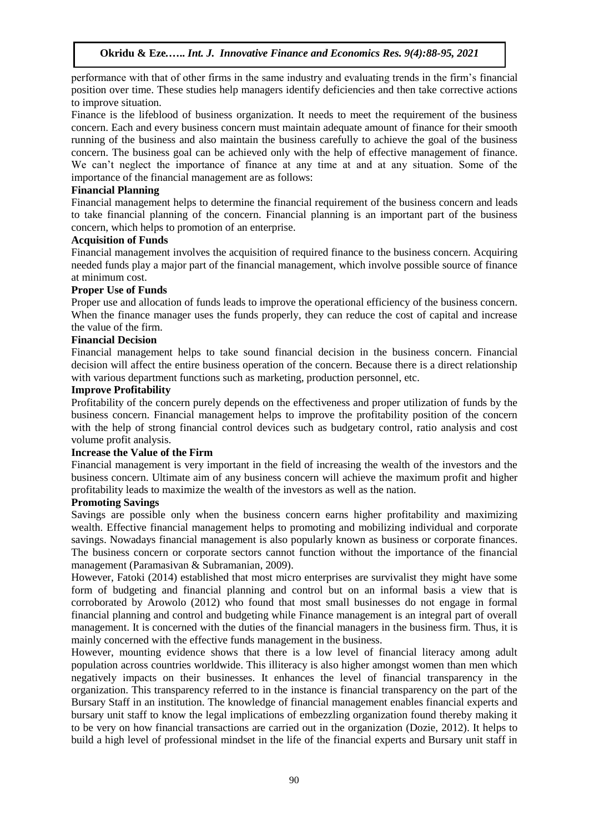performance with that of other firms in the same industry and evaluating trends in the firm's financial position over time. These studies help managers identify deficiencies and then take corrective actions to improve situation.

Finance is the lifeblood of business organization. It needs to meet the requirement of the business concern. Each and every business concern must maintain adequate amount of finance for their smooth running of the business and also maintain the business carefully to achieve the goal of the business concern. The business goal can be achieved only with the help of effective management of finance. We can't neglect the importance of finance at any time at and at any situation. Some of the importance of the financial management are as follows:

# **Financial Planning**

Financial management helps to determine the financial requirement of the business concern and leads to take financial planning of the concern. Financial planning is an important part of the business concern, which helps to promotion of an enterprise.

# **Acquisition of Funds**

Financial management involves the acquisition of required finance to the business concern. Acquiring needed funds play a major part of the financial management, which involve possible source of finance at minimum cost.

# **Proper Use of Funds**

Proper use and allocation of funds leads to improve the operational efficiency of the business concern. When the finance manager uses the funds properly, they can reduce the cost of capital and increase the value of the firm.

# **Financial Decision**

Financial management helps to take sound financial decision in the business concern. Financial decision will affect the entire business operation of the concern. Because there is a direct relationship with various department functions such as marketing, production personnel, etc.

# **Improve Profitability**

Profitability of the concern purely depends on the effectiveness and proper utilization of funds by the business concern. Financial management helps to improve the profitability position of the concern with the help of strong financial control devices such as budgetary control, ratio analysis and cost volume profit analysis.

## **Increase the Value of the Firm**

Financial management is very important in the field of increasing the wealth of the investors and the business concern. Ultimate aim of any business concern will achieve the maximum profit and higher profitability leads to maximize the wealth of the investors as well as the nation.

# **Promoting Savings**

Savings are possible only when the business concern earns higher profitability and maximizing wealth. Effective financial management helps to promoting and mobilizing individual and corporate savings. Nowadays financial management is also popularly known as business or corporate finances. The business concern or corporate sectors cannot function without the importance of the financial management (Paramasivan & Subramanian, 2009).

However, Fatoki (2014) established that most micro enterprises are survivalist they might have some form of budgeting and financial planning and control but on an informal basis a view that is corroborated by Arowolo (2012) who found that most small businesses do not engage in formal financial planning and control and budgeting while Finance management is an integral part of overall management. It is concerned with the duties of the financial managers in the business firm. Thus, it is mainly concerned with the effective funds management in the business.

However, mounting evidence shows that there is a low level of financial literacy among adult population across countries worldwide. This illiteracy is also higher amongst women than men which negatively impacts on their businesses. It enhances the level of financial transparency in the organization. This transparency referred to in the instance is financial transparency on the part of the Bursary Staff in an institution. The knowledge of financial management enables financial experts and bursary unit staff to know the legal implications of embezzling organization found thereby making it to be very on how financial transactions are carried out in the organization (Dozie, 2012). It helps to build a high level of professional mindset in the life of the financial experts and Bursary unit staff in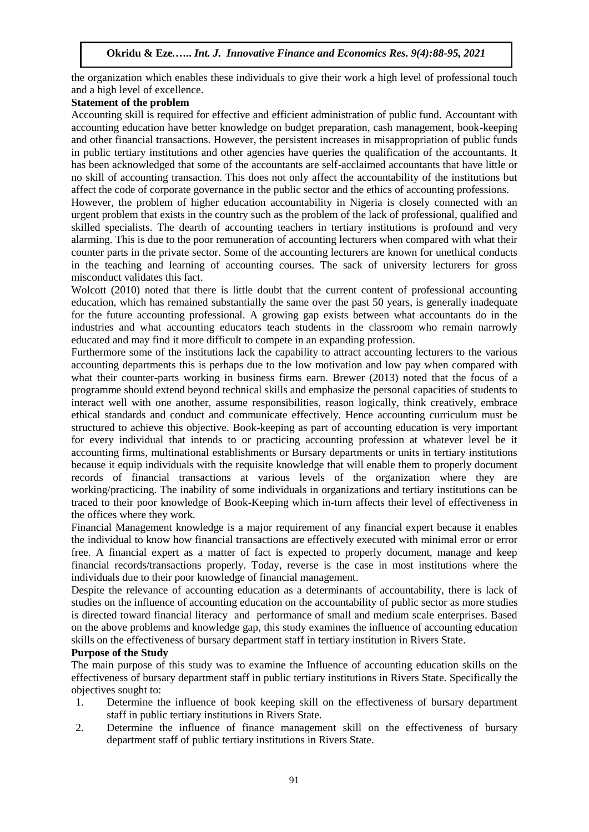the organization which enables these individuals to give their work a high level of professional touch and a high level of excellence.

## **Statement of the problem**

Accounting skill is required for effective and efficient administration of public fund. Accountant with accounting education have better knowledge on budget preparation, cash management, book-keeping and other financial transactions. However, the persistent increases in misappropriation of public funds in public tertiary institutions and other agencies have queries the qualification of the accountants. It has been acknowledged that some of the accountants are self-acclaimed accountants that have little or no skill of accounting transaction. This does not only affect the accountability of the institutions but affect the code of corporate governance in the public sector and the ethics of accounting professions.

However, the problem of higher education accountability in Nigeria is closely connected with an urgent problem that exists in the country such as the problem of the lack of professional, qualified and skilled specialists. The dearth of accounting teachers in tertiary institutions is profound and very alarming. This is due to the poor remuneration of accounting lecturers when compared with what their counter parts in the private sector. Some of the accounting lecturers are known for unethical conducts in the teaching and learning of accounting courses. The sack of university lecturers for gross misconduct validates this fact.

Wolcott (2010) noted that there is little doubt that the current content of professional accounting education, which has remained substantially the same over the past 50 years, is generally inadequate for the future accounting professional. A growing gap exists between what accountants do in the industries and what accounting educators teach students in the classroom who remain narrowly educated and may find it more difficult to compete in an expanding profession.

Furthermore some of the institutions lack the capability to attract accounting lecturers to the various accounting departments this is perhaps due to the low motivation and low pay when compared with what their counter-parts working in business firms earn. Brewer (2013) noted that the focus of a programme should extend beyond technical skills and emphasize the personal capacities of students to interact well with one another, assume responsibilities, reason logically, think creatively, embrace ethical standards and conduct and communicate effectively. Hence accounting curriculum must be structured to achieve this objective. Book-keeping as part of accounting education is very important for every individual that intends to or practicing accounting profession at whatever level be it accounting firms, multinational establishments or Bursary departments or units in tertiary institutions because it equip individuals with the requisite knowledge that will enable them to properly document records of financial transactions at various levels of the organization where they are working/practicing. The inability of some individuals in organizations and tertiary institutions can be traced to their poor knowledge of Book-Keeping which in-turn affects their level of effectiveness in the offices where they work.

Financial Management knowledge is a major requirement of any financial expert because it enables the individual to know how financial transactions are effectively executed with minimal error or error free. A financial expert as a matter of fact is expected to properly document, manage and keep financial records/transactions properly. Today, reverse is the case in most institutions where the individuals due to their poor knowledge of financial management.

Despite the relevance of accounting education as a determinants of accountability, there is lack of studies on the influence of accounting education on the accountability of public sector as more studies is directed toward financial literacy and performance of small and medium scale enterprises. Based on the above problems and knowledge gap, this study examines the influence of accounting education skills on the effectiveness of bursary department staff in tertiary institution in Rivers State.

## **Purpose of the Study**

The main purpose of this study was to examine the Influence of accounting education skills on the effectiveness of bursary department staff in public tertiary institutions in Rivers State. Specifically the objectives sought to:

- 1. Determine the influence of book keeping skill on the effectiveness of bursary department staff in public tertiary institutions in Rivers State.
- 2. Determine the influence of finance management skill on the effectiveness of bursary department staff of public tertiary institutions in Rivers State.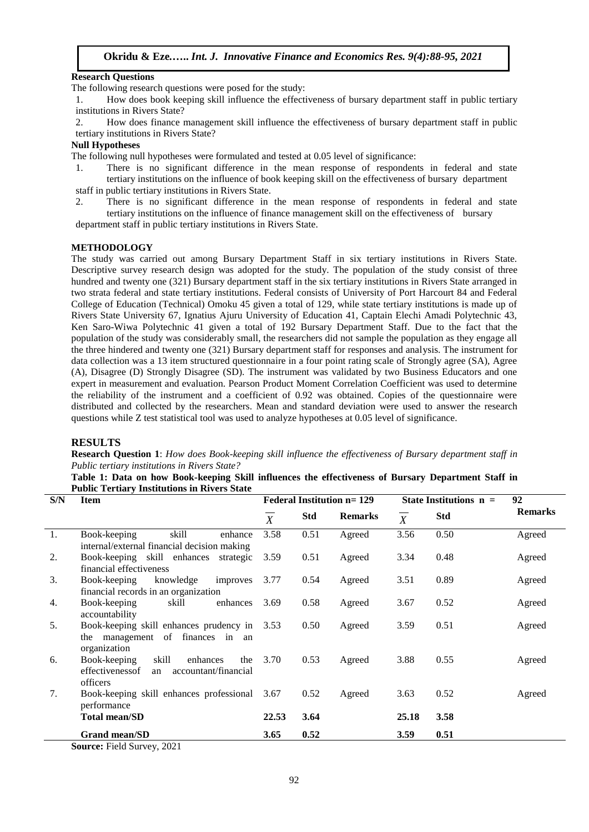#### **Research Questions**

The following research questions were posed for the study:

- 1. How does book keeping skill influence the effectiveness of bursary department staff in public tertiary institutions in Rivers State?
- 2. How does finance management skill influence the effectiveness of bursary department staff in public tertiary institutions in Rivers State?

#### **Null Hypotheses**

The following null hypotheses were formulated and tested at 0.05 level of significance:

- 1. There is no significant difference in the mean response of respondents in federal and state tertiary institutions on the influence of book keeping skill on the effectiveness of bursary department staff in public tertiary institutions in Rivers State.
- 2. There is no significant difference in the mean response of respondents in federal and state tertiary institutions on the influence of finance management skill on the effectiveness of bursary

department staff in public tertiary institutions in Rivers State.

#### **METHODOLOGY**

The study was carried out among Bursary Department Staff in six tertiary institutions in Rivers State. Descriptive survey research design was adopted for the study. The population of the study consist of three hundred and twenty one (321) Bursary department staff in the six tertiary institutions in Rivers State arranged in two strata federal and state tertiary institutions. Federal consists of University of Port Harcourt 84 and Federal College of Education (Technical) Omoku 45 given a total of 129, while state tertiary institutions is made up of Rivers State University 67, Ignatius Ajuru University of Education 41, Captain Elechi Amadi Polytechnic 43, Ken Saro-Wiwa Polytechnic 41 given a total of 192 Bursary Department Staff. Due to the fact that the population of the study was considerably small, the researchers did not sample the population as they engage all the three hindered and twenty one (321) Bursary department staff for responses and analysis. The instrument for data collection was a 13 item structured questionnaire in a four point rating scale of Strongly agree (SA), Agree (A), Disagree (D) Strongly Disagree (SD). The instrument was validated by two Business Educators and one expert in measurement and evaluation. Pearson Product Moment Correlation Coefficient was used to determine the reliability of the instrument and a coefficient of 0.92 was obtained. Copies of the questionnaire were distributed and collected by the researchers. Mean and standard deviation were used to answer the research questions while Z test statistical tool was used to analyze hypotheses at 0.05 level of significance.

## **RESULTS**

**Research Question 1**: *How does Book-keeping skill influence the effectiveness of Bursary department staff in Public tertiary institutions in Rivers State?*

|  |  |  |                                                     |  | Table 1: Data on how Book-keeping Skill influences the effectiveness of Bursary Department Staff in |  |  |  |
|--|--|--|-----------------------------------------------------|--|-----------------------------------------------------------------------------------------------------|--|--|--|
|  |  |  | <b>Public Tertiary Institutions in Rivers State</b> |  |                                                                                                     |  |  |  |

| S/N | <b>Item</b>                                                                                           |                | <b>Federal Institution n= 129</b> |                |                | State Institutions $n =$ | 92             |  |
|-----|-------------------------------------------------------------------------------------------------------|----------------|-----------------------------------|----------------|----------------|--------------------------|----------------|--|
|     |                                                                                                       | $\overline{X}$ | <b>Std</b>                        | <b>Remarks</b> | $\overline{X}$ | Std                      | <b>Remarks</b> |  |
| -1. | skill<br>Book-keeping<br>enhance<br>internal/external financial decision making                       | 3.58           | 0.51                              | Agreed         | 3.56           | 0.50                     | Agreed         |  |
| 2.  | Book-keeping skill enhances<br>strategic<br>financial effectiveness                                   | 3.59           | 0.51                              | Agreed         | 3.34           | 0.48                     | Agreed         |  |
| 3.  | Book-keeping<br>knowledge<br>improves<br>financial records in an organization                         | 3.77           | 0.54                              | Agreed         | 3.51           | 0.89                     | Agreed         |  |
| 4.  | skill<br>Book-keeping<br>enhances<br>accountability                                                   | 3.69           | 0.58                              | Agreed         | 3.67           | 0.52                     | Agreed         |  |
| 5.  | Book-keeping skill enhances prudency in<br>of finances in<br>the management<br>an<br>organization     | 3.53           | 0.50                              | Agreed         | 3.59           | 0.51                     | Agreed         |  |
| 6.  | Book-keeping<br>skill<br>the<br>enhances<br>effectivenessof<br>accountant/financial<br>an<br>officers | 3.70           | 0.53                              | Agreed         | 3.88           | 0.55                     | Agreed         |  |
| 7.  | Book-keeping skill enhances professional<br>performance                                               | 3.67           | 0.52                              | Agreed         | 3.63           | 0.52                     | Agreed         |  |
|     | <b>Total mean/SD</b>                                                                                  | 22.53          | 3.64                              |                | 25.18          | 3.58                     |                |  |
|     | <b>Grand mean/SD</b><br>0.021<br>$\sim$<br>$T$ 110                                                    | 3.65           | 0.52                              |                | 3.59           | 0.51                     |                |  |

**Source:** Field Survey, 2021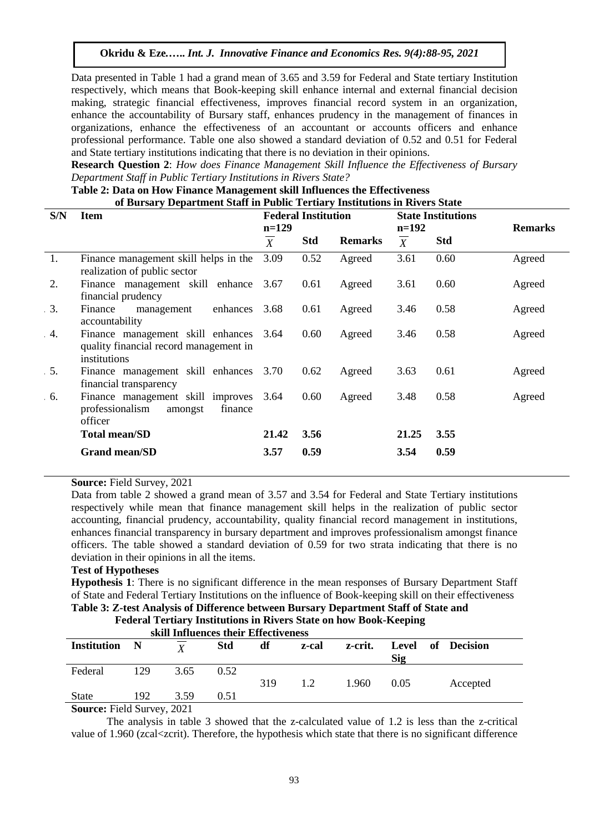Data presented in Table 1 had a grand mean of 3.65 and 3.59 for Federal and State tertiary Institution respectively, which means that Book-keeping skill enhance internal and external financial decision making, strategic financial effectiveness, improves financial record system in an organization, enhance the accountability of Bursary staff, enhances prudency in the management of finances in organizations, enhance the effectiveness of an accountant or accounts officers and enhance professional performance. Table one also showed a standard deviation of 0.52 and 0.51 for Federal and State tertiary institutions indicating that there is no deviation in their opinions.

**Research Question 2**: *How does Finance Management Skill Influence the Effectiveness of Bursary Department Staff in Public Tertiary Institutions in Rivers State?*

## **Table 2: Data on How Finance Management skill Influences the Effectiveness of Bursary Department Staff in Public Tertiary Institutions in Rivers State**

| S/N | <b>Item</b>                                                                                      | $n=129$          | <b>Federal Institution</b> |                | <b>State Institutions</b><br>$n=192$ |            | <b>Remarks</b> |  |
|-----|--------------------------------------------------------------------------------------------------|------------------|----------------------------|----------------|--------------------------------------|------------|----------------|--|
|     |                                                                                                  | $\boldsymbol{X}$ | Std                        | <b>Remarks</b> | $\boldsymbol{X}$                     | <b>Std</b> |                |  |
| 1.  | Finance management skill helps in the<br>realization of public sector                            | 3.09             | 0.52                       | Agreed         | 3.61                                 | 0.60       | Agreed         |  |
| 2.  | Finance management skill enhance<br>financial prudency                                           | 3.67             | 0.61                       | Agreed         | 3.61                                 | 0.60       | Agreed         |  |
| 3.  | enhances 3.68<br>Finance<br>management<br>accountability                                         |                  | 0.61                       | Agreed         | 3.46                                 | 0.58       | Agreed         |  |
| 4.  | Finance management skill enhances 3.64<br>quality financial record management in<br>institutions |                  | 0.60                       | Agreed         | 3.46                                 | 0.58       | Agreed         |  |
| .5. | Finance management skill enhances 3.70<br>financial transparency                                 |                  | 0.62                       | Agreed         | 3.63                                 | 0.61       | Agreed         |  |
| 6.6 | Finance management skill improves<br>professionalism<br>amongst<br>finance<br>officer            | 3.64             | 0.60                       | Agreed         | 3.48                                 | 0.58       | Agreed         |  |
|     | <b>Total mean/SD</b>                                                                             | 21.42            | 3.56                       |                | 21.25                                | 3.55       |                |  |
|     | <b>Grand mean/SD</b>                                                                             | 3.57             | 0.59                       |                | 3.54                                 | 0.59       |                |  |

## **Source:** Field Survey, 2021

Data from table 2 showed a grand mean of 3.57 and 3.54 for Federal and State Tertiary institutions respectively while mean that finance management skill helps in the realization of public sector accounting, financial prudency, accountability, quality financial record management in institutions, enhances financial transparency in bursary department and improves professionalism amongst finance officers. The table showed a standard deviation of 0.59 for two strata indicating that there is no deviation in their opinions in all the items.

## **Test of Hypotheses**

**Hypothesis 1**: There is no significant difference in the mean responses of Bursary Department Staff of State and Federal Tertiary Institutions on the influence of Book-keeping skill on their effectiveness **Table 3: Z-test Analysis of Difference between Bursary Department Staff of State and** 

 **Federal Tertiary Institutions in Rivers State on how Book-Keeping** 

|                                                                                                                                                                                |                | skill Influences their Effectiveness |            |     |       |         |      |                   |
|--------------------------------------------------------------------------------------------------------------------------------------------------------------------------------|----------------|--------------------------------------|------------|-----|-------|---------|------|-------------------|
| <b>Institution</b>                                                                                                                                                             | $\blacksquare$ | Y                                    | <b>Std</b> | df  | z-cal | z-crit. | Sig  | Level of Decision |
| Federal                                                                                                                                                                        | 129            | 3.65                                 | 0.52       |     |       |         |      |                   |
|                                                                                                                                                                                |                |                                      |            | 319 | 1.2   | 1.960   | 0.05 | Accepted          |
| <b>State</b>                                                                                                                                                                   | 192            | 3.59                                 | 0.51       |     |       |         |      |                   |
| $\mathbb{C}_{\text{op}}$ $\mathbb{C}_{\text{op}}$ $\mathbb{C}_{\text{op}}$ $\mathbb{C}_{\text{op}}$ $\mathbb{C}_{\text{op}}$ $\mathbb{C}_{\text{op}}$ $\mathbb{C}_{\text{op}}$ |                |                                      |            |     |       |         |      |                   |

**Source:** Field Survey, 2021

The analysis in table 3 showed that the z-calculated value of 1.2 is less than the z-critical value of 1.960 (zcal<zcrit). Therefore, the hypothesis which state that there is no significant difference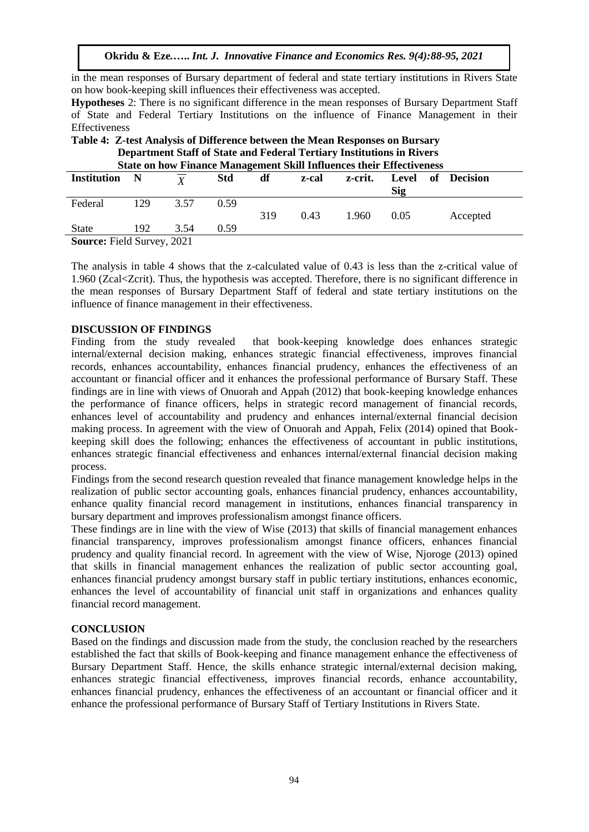in the mean responses of Bursary department of federal and state tertiary institutions in Rivers State on how book-keeping skill influences their effectiveness was accepted.

**Hypotheses** 2: There is no significant difference in the mean responses of Bursary Department Staff of State and Federal Tertiary Institutions on the influence of Finance Management in their **Effectiveness** 

|                                                                             | Department Staff of State and Federal Tertiary Institutions in Rivers |                             |            |     |       |         |            |  |             |  |  |  |  |
|-----------------------------------------------------------------------------|-----------------------------------------------------------------------|-----------------------------|------------|-----|-------|---------|------------|--|-------------|--|--|--|--|
| <b>State on how Finance Management Skill Influences their Effectiveness</b> |                                                                       |                             |            |     |       |         |            |  |             |  |  |  |  |
| <b>Institution</b>                                                          | - N                                                                   | V                           | <b>Std</b> | df  | z-cal | z-crit. | Level      |  | of Decision |  |  |  |  |
|                                                                             |                                                                       |                             |            |     |       |         | <b>Sig</b> |  |             |  |  |  |  |
| Federal                                                                     | 129                                                                   | 3.57                        | 0.59       |     |       |         |            |  |             |  |  |  |  |
|                                                                             |                                                                       |                             |            | 319 | 0.43  | 1.960   | 0.05       |  | Accepted    |  |  |  |  |
| <b>State</b>                                                                | 192                                                                   | 3.54                        | 0.59       |     |       |         |            |  |             |  |  |  |  |
| $\sim$<br><b>. 0</b>                                                        |                                                                       | $\sim$ $\sim$ $\sim$ $\sim$ |            |     |       |         |            |  |             |  |  |  |  |

**Table 4: Z-test Analysis of Difference between the Mean Responses on Bursary** 

**Source:** Field Survey, 2021

The analysis in table 4 shows that the z-calculated value of 0.43 is less than the z-critical value of 1.960 (Zcal<Zcrit). Thus, the hypothesis was accepted. Therefore, there is no significant difference in the mean responses of Bursary Department Staff of federal and state tertiary institutions on the influence of finance management in their effectiveness.

## **DISCUSSION OF FINDINGS**

Finding from the study revealed that book-keeping knowledge does enhances strategic internal/external decision making, enhances strategic financial effectiveness, improves financial records, enhances accountability, enhances financial prudency, enhances the effectiveness of an accountant or financial officer and it enhances the professional performance of Bursary Staff. These findings are in line with views of Onuorah and Appah (2012) that book-keeping knowledge enhances the performance of finance officers, helps in strategic record management of financial records, enhances level of accountability and prudency and enhances internal/external financial decision making process. In agreement with the view of Onuorah and Appah, Felix (2014) opined that Bookkeeping skill does the following; enhances the effectiveness of accountant in public institutions, enhances strategic financial effectiveness and enhances internal/external financial decision making process.

Findings from the second research question revealed that finance management knowledge helps in the realization of public sector accounting goals, enhances financial prudency, enhances accountability, enhance quality financial record management in institutions, enhances financial transparency in bursary department and improves professionalism amongst finance officers.

These findings are in line with the view of Wise (2013) that skills of financial management enhances financial transparency, improves professionalism amongst finance officers, enhances financial prudency and quality financial record. In agreement with the view of Wise, Njoroge (2013) opined that skills in financial management enhances the realization of public sector accounting goal, enhances financial prudency amongst bursary staff in public tertiary institutions, enhances economic, enhances the level of accountability of financial unit staff in organizations and enhances quality financial record management.

## **CONCLUSION**

Based on the findings and discussion made from the study, the conclusion reached by the researchers established the fact that skills of Book-keeping and finance management enhance the effectiveness of Bursary Department Staff. Hence, the skills enhance strategic internal/external decision making, enhances strategic financial effectiveness, improves financial records, enhance accountability, enhances financial prudency, enhances the effectiveness of an accountant or financial officer and it enhance the professional performance of Bursary Staff of Tertiary Institutions in Rivers State.